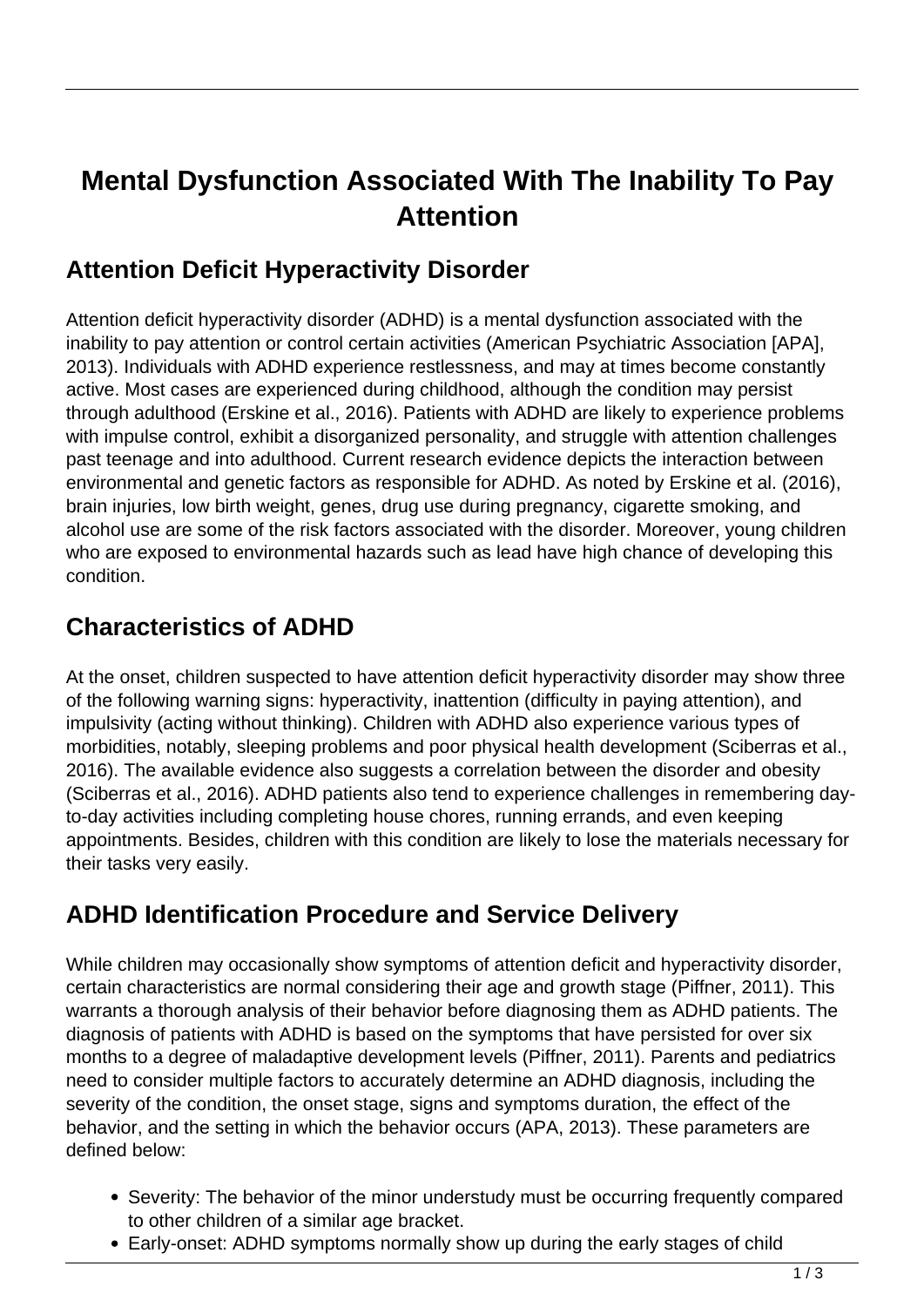# **Mental Dysfunction Associated With The Inability To Pay Attention**

#### **Attention Deficit Hyperactivity Disorder**

Attention deficit hyperactivity disorder (ADHD) is a mental dysfunction associated with the inability to pay attention or control certain activities (American Psychiatric Association [APA], 2013). Individuals with ADHD experience restlessness, and may at times become constantly active. Most cases are experienced during childhood, although the condition may persist through adulthood (Erskine et al., 2016). Patients with ADHD are likely to experience problems with impulse control, exhibit a disorganized personality, and struggle with attention challenges past teenage and into adulthood. Current research evidence depicts the interaction between environmental and genetic factors as responsible for ADHD. As noted by Erskine et al. (2016), brain injuries, low birth weight, genes, drug use during pregnancy, cigarette smoking, and alcohol use are some of the risk factors associated with the disorder. Moreover, young children who are exposed to environmental hazards such as lead have high chance of developing this condition.

# **Characteristics of ADHD**

At the onset, children suspected to have attention deficit hyperactivity disorder may show three of the following warning signs: hyperactivity, inattention (difficulty in paying attention), and impulsivity (acting without thinking). Children with ADHD also experience various types of morbidities, notably, sleeping problems and poor physical health development (Sciberras et al., 2016). The available evidence also suggests a correlation between the disorder and obesity (Sciberras et al., 2016). ADHD patients also tend to experience challenges in remembering dayto-day activities including completing house chores, running errands, and even keeping appointments. Besides, children with this condition are likely to lose the materials necessary for their tasks very easily.

## **ADHD Identification Procedure and Service Delivery**

While children may occasionally show symptoms of attention deficit and hyperactivity disorder, certain characteristics are normal considering their age and growth stage (Piffner, 2011). This warrants a thorough analysis of their behavior before diagnosing them as ADHD patients. The diagnosis of patients with ADHD is based on the symptoms that have persisted for over six months to a degree of maladaptive development levels (Piffner, 2011). Parents and pediatrics need to consider multiple factors to accurately determine an ADHD diagnosis, including the severity of the condition, the onset stage, signs and symptoms duration, the effect of the behavior, and the setting in which the behavior occurs (APA, 2013). These parameters are defined below:

- Severity: The behavior of the minor understudy must be occurring frequently compared to other children of a similar age bracket.
- Early-onset: ADHD symptoms normally show up during the early stages of child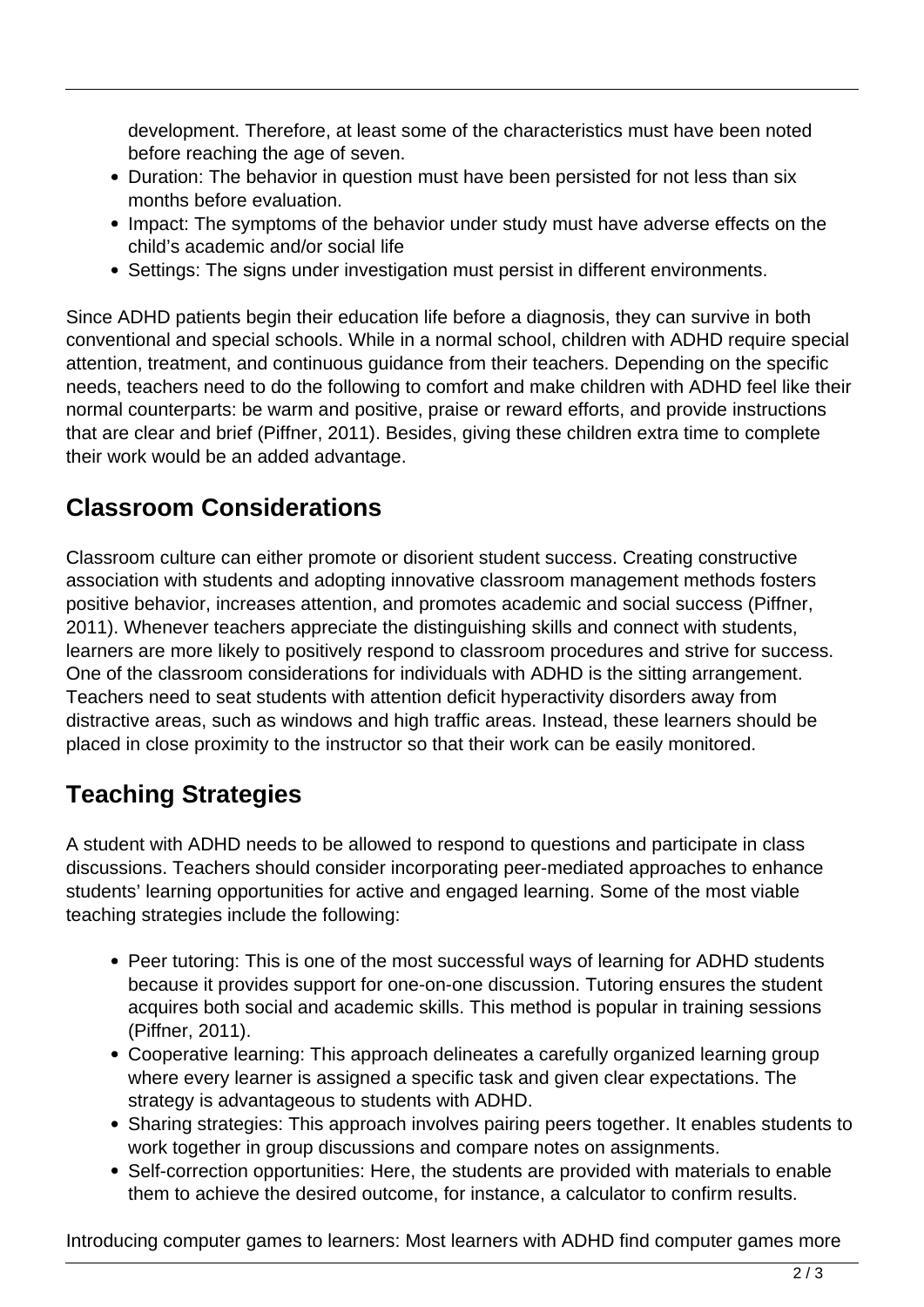development. Therefore, at least some of the characteristics must have been noted before reaching the age of seven.

- Duration: The behavior in question must have been persisted for not less than six months before evaluation.
- Impact: The symptoms of the behavior under study must have adverse effects on the child's academic and/or social life
- Settings: The signs under investigation must persist in different environments.

Since ADHD patients begin their education life before a diagnosis, they can survive in both conventional and special schools. While in a normal school, children with ADHD require special attention, treatment, and continuous guidance from their teachers. Depending on the specific needs, teachers need to do the following to comfort and make children with ADHD feel like their normal counterparts: be warm and positive, praise or reward efforts, and provide instructions that are clear and brief (Piffner, 2011). Besides, giving these children extra time to complete their work would be an added advantage.

#### **Classroom Considerations**

Classroom culture can either promote or disorient student success. Creating constructive association with students and adopting innovative classroom management methods fosters positive behavior, increases attention, and promotes academic and social success (Piffner, 2011). Whenever teachers appreciate the distinguishing skills and connect with students, learners are more likely to positively respond to classroom procedures and strive for success. One of the classroom considerations for individuals with ADHD is the sitting arrangement. Teachers need to seat students with attention deficit hyperactivity disorders away from distractive areas, such as windows and high traffic areas. Instead, these learners should be placed in close proximity to the instructor so that their work can be easily monitored.

## **Teaching Strategies**

A student with ADHD needs to be allowed to respond to questions and participate in class discussions. Teachers should consider incorporating peer-mediated approaches to enhance students' learning opportunities for active and engaged learning. Some of the most viable teaching strategies include the following:

- Peer tutoring: This is one of the most successful ways of learning for ADHD students because it provides support for one-on-one discussion. Tutoring ensures the student acquires both social and academic skills. This method is popular in training sessions (Piffner, 2011).
- Cooperative learning: This approach delineates a carefully organized learning group where every learner is assigned a specific task and given clear expectations. The strategy is advantageous to students with ADHD.
- Sharing strategies: This approach involves pairing peers together. It enables students to work together in group discussions and compare notes on assignments.
- Self-correction opportunities: Here, the students are provided with materials to enable them to achieve the desired outcome, for instance, a calculator to confirm results.

Introducing computer games to learners: Most learners with ADHD find computer games more